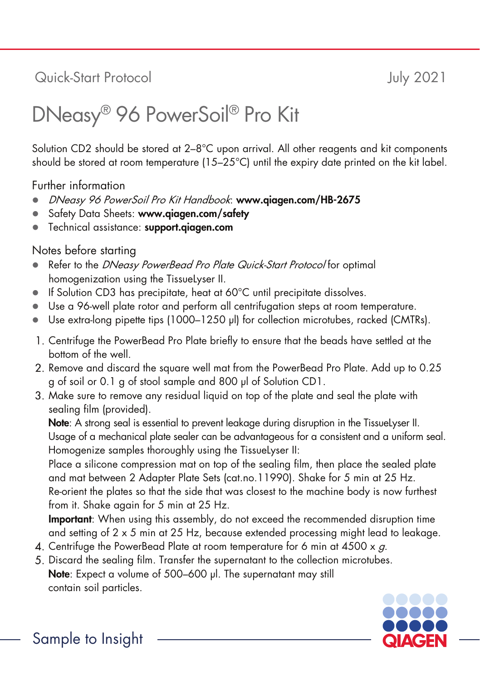## Quick-Start Protocol July 2021

## DNeasy® 96 PowerSoil® Pro Kit

Solution CD2 should be stored at 2–8°C upon arrival. All other reagents and kit components should be stored at room temperature (15–25°C) until the expiry date printed on the kit label.

Further information

- DNeasy 96 PowerSoil Pro Kit Handbook: www.qiagen.com/HB-2675
- Safety Data Sheets: www.qiagen.com/safety
- Technical assistance: support.aiagen.com

Notes before starting

- Refer to the DNeasy PowerBead Pro Plate Quick-Start Protocol for optimal homogenization using the TissueLyser II.
- If Solution CD3 has precipitate, heat at 60°C until precipitate dissolves.
- Use a 96-well plate rotor and perform all centrifugation steps at room temperature.
- Use extra-long pipette tips (1000–1250 µl) for collection microtubes, racked (CMTRs).
- Centrifuge the PowerBead Pro Plate briefly to ensure that the beads have settled at the bottom of the well.
- Remove and discard the square well mat from the PowerBead Pro Plate. Add up to 0.25 g of soil or 0.1 g of stool sample and 800 μl of Solution CD1.
- Make sure to remove any residual liquid on top of the plate and seal the plate with sealing film (provided).

Note: A strong seal is essential to prevent leakage during disruption in the TissueLyser II. Usage of a mechanical plate sealer can be advantageous for a consistent and a uniform seal. Homogenize samples thoroughly using the TissueLyser II:

Place a silicone compression mat on top of the sealing film, then place the sealed plate and mat between 2 Adapter Plate Sets (cat.no.11990). Shake for 5 min at 25 Hz. Re-orient the plates so that the side that was closest to the machine body is now furthest from it. Shake again for 5 min at 25 Hz.

Important: When using this assembly, do not exceed the recommended disruption time and setting of 2 x 5 min at 25 Hz, because extended processing might lead to leakage.

- 4. Centrifuge the PowerBead Plate at room temperature for 6 min at  $4500 \times g$ .
- Discard the sealing film. Transfer the supernatant to the collection microtubes. Note: Expect a volume of 500–600 μl. The supernatant may still contain soil particles.



Sample to Insight